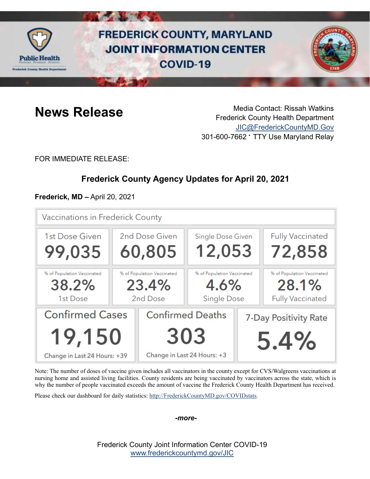

# **FREDERICK COUNTY, MARYLAND JOINT INFORMATION CENTER COVID-19**



**News Release** Media Contact: Rissah Watkins Frederick County Health Department [JIC@FrederickCountyMD.Gov](mailto:JIC@FrederickCountyMD.Gov) 301-600-7662 • TTY Use Maryland Relay

FOR IMMEDIATE RELEASE:

# **Frederick County Agency Updates for April 20, 2021**

**Frederick, MD –** April 20, 2021

| Vaccinations in Frederick County                |                                                 |                             |                                                          |                               |                                                                |
|-------------------------------------------------|-------------------------------------------------|-----------------------------|----------------------------------------------------------|-------------------------------|----------------------------------------------------------------|
| 1st Dose Given                                  | 2nd Dose Given                                  |                             | <b>Single Dose Given</b>                                 |                               | <b>Fully Vaccinated</b>                                        |
| 99,035                                          | 60,805                                          |                             | 12,053                                                   |                               | 72,858                                                         |
| % of Population Vaccinated<br>38.2%<br>1st Dose | % of Population Vaccinated<br>23.4%<br>2nd Dose |                             | % of Population Vaccinated<br>4.6%<br><b>Single Dose</b> |                               | % of Population Vaccinated<br>28.1%<br><b>Fully Vaccinated</b> |
| <b>Confirmed Cases</b><br>19,150                |                                                 | 303                         | <b>Confirmed Deaths</b>                                  | 7-Day Positivity Rate<br>5.4% |                                                                |
| Change in Last 24 Hours: +39                    |                                                 | Change in Last 24 Hours: +3 |                                                          |                               |                                                                |

Note: The number of doses of vaccine given includes all vaccinators in the county except for CVS/Walgreens vaccinations at nursing home and assisted living facilities. County residents are being vaccinated by vaccinators across the state, which is why the number of people vaccinated exceeds the amount of vaccine the Frederick County Health Department has received.

Please check our dashboard for daily statistics: [http://FrederickCountyMD.gov/COVIDstats.](http://frederickcountymd.gov/COVIDstats)

*-more-*

Frederick County Joint Information Center COVID-19 [www.frederickcountymd.gov/JIC](https://frederickcountymd.gov/JIC)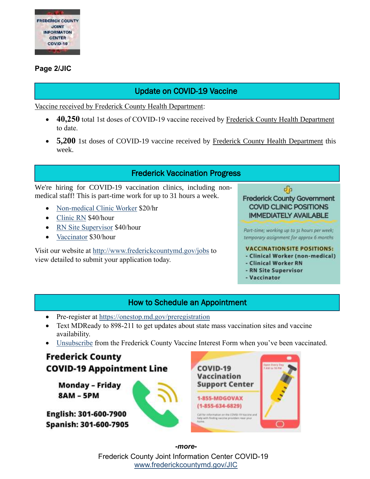

#### **Page 2/JIC**

# Update on COVID-19 Vaccine

Vaccine received by Frederick County Health Department:

- **40,250** total 1st doses of COVID-19 vaccine received by Frederick County Health Department to date.
- 5,200 1st doses of COVID-19 vaccine received by Frederick County Health Department this week.

### Frederick Vaccination Progress

We're hiring for COVID-19 vaccination clinics, including nonmedical staff! This is part-time work for up to 31 hours a week.

- [Non-medical Clinic Worker](https://www.governmentjobs.com/careers/frederickmd/jobs/3049868/clinical-worker-non-medical-covid) \$20/hr
- [Clinic RN](https://www.governmentjobs.com/careers/frederickmd/jobs/3040463/vaccination-clinic-rn-covid) \$40/hour
- [RN Site Supervisor](https://www.governmentjobs.com/careers/frederickmd/jobs/2982812/rn-vaccination-site-supervisor-covid) \$40/hour
- [Vaccinator](https://www.governmentjobs.com/careers/frederickmd/jobs/3049575/vaccinator-covid) \$30/hour

Visit our website at<http://www.frederickcountymd.gov/jobs> to view detailed to submit your application today.



Part-time; working up to 31 hours per week; temporary assignment for approx 6 months

#### **VACCINATION SITE POSITIONS:**

- Clinical Worker (non-medical)
- Clinical Worker RN
- RN Site Supervisor
- Vaccinator

### How to Schedule an Appointment

- Pre-register at<https://onestop.md.gov/preregistration>
- Text MDReady to 898-211 to get updates about state mass vaccination sites and vaccine availability.
- [Unsubscribe](https://ww3.frederickcountymd.gov/VaccineInterestUnsubscribe) from the Frederick County Vaccine Interest Form when you've been vaccinated.



Frederick County Joint Information Center COVID-19 [www.frederickcountymd.gov/JIC](https://frederickcountymd.gov/JIC) *-more-*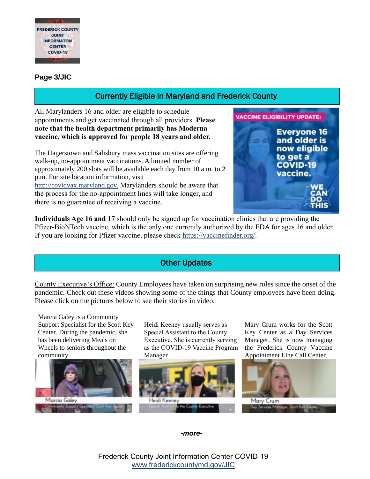

#### **Page 3/JIC**

# Currently Eligible in Maryland and Frederick County

All Marylanders 16 and older are eligible to schedule appointments and get vaccinated through all providers. **Please note that the health department primarily has Moderna vaccine, which is approved for people 18 years and older.**

The Hagerstown and Salisbury mass vaccination sites are offering walk-up, no-appointment vaccinations. A limited number of approximately 200 slots will be available each day from 10 a.m. to 2 p.m. For site location information, visit [http://covidvax.maryland.gov.](http://covidvax.maryland.gov/?fbclid=IwAR1r26ETV6ATS6yLR2pSyDSgl1n_W_y2A0jHa244PNv1h7CeXdXpkLZ5JjQ) Marylanders should be aware that the process for the no-appointment lines will take longer, and there is no guarantee of receiving a vaccine.



**Individuals Age 16 and 17** should only be signed up for vaccination clinics that are providing the Pfizer-BioNTech vaccine, which is the only one currently authorized by the FDA for ages 16 and older. If you are looking for Pfizer vaccine, please check [https://vaccinefinder.org/.](https://vaccinefinder.org/)

# Other Updates

County Executive's Office: County Employees have taken on surprising new roles since the onset of the pandemic. Check out these videos showing some of the things that County employees have been doing. Please click on the pictures below to see their stories in video.

Marcia Galey is a Community Support Specialist for the Scott Key Center. During the pandemic, she has been delivering Meals on Wheels to seniors throughout the community.



Heidi Keeney usually serves as Special Assistant to the County Executive. She is currently serving as the COVID-19 Vaccine Program Manager.



Mary Crum works for the Scott Key Center as a Day Services Manager. She is now managing the Frederick County Vaccine Appointment Line Call Center.



*-more-*